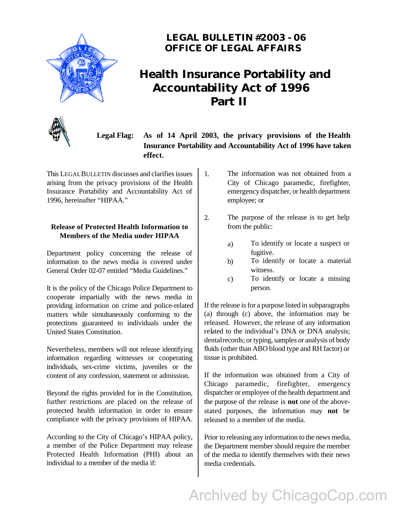

### **LEGAL BULLETIN #2003 - 06 OFFICE OF LEGAL AFFAIRS**

### **Health Insurance Portability and Accountability Act of 1996 Part II**



**Legal Flag: As of 14 April 2003, the privacy provisions of the Health Insurance Portability and Accountability Act of 1996 have taken effect.**

This LEGALBULLETIN discusses and clarifies issues arising from the privacy provisions of the Health Insurance Portability and Accountability Act of 1996, hereinafter "HIPAA."

#### **Release of Protected Health Information to Members of the Media under HIPAA**

Department policy concerning the release of information to the news media is covered under General Order 02-07 entitled "Media Guidelines."

It is the policy of the Chicago Police Department to cooperate impartially with the news media in providing information on crime and police-related matters while simultaneously conforming to the protections guaranteed to individuals under the United States Constitution.

Nevertheless, members will not release identifying information regarding witnesses or cooperating individuals, sex-crime victims, juveniles or the content of any confession, statement or admission.

Beyond the rights provided for in the Constitution, further restrictions are placed on the release of protected health information in order to ensure compliance with the privacy provisions of HIPAA.

According to the City of Chicago's HIPAA policy, a member of the Police Department may release Protected Health Information (PHI) about an individual to a member of the media if:

- 1. The information was not obtained from a City of Chicago paramedic, firefighter, emergency dispatcher, or health department employee; or
- 2. The purpose of the release is to get help from the public:
	- a) To identify or locate a suspect or fugitive.
	- b) To identify or locate a material witness.
	- c) To identify or locate a missing person.

If the release is for a purpose listed in subparagraphs (a) through (c) above, the information may be released. However, the release of any information related to the individual's DNA or DNA analysis; dental records; or typing, samples or analysis of body fluids (other than ABO blood type and RH factor) or tissue is prohibited.

If the information was obtained from a City of Chicago paramedic, firefighter, emergency dispatcher or employee of the health department and the purpose of the release is **not** one of the abovestated purposes, the information may **not** be released to a member of the media.

Prior to releasing any information to the news media, the Department member should require the member of the media to identify themselves with their news media credentials.

Archived by ChicagoCop.com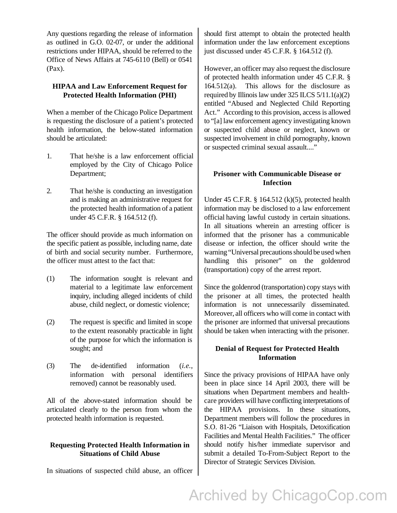Any questions regarding the release of information as outlined in G.O. 02-07, or under the additional restrictions under HIPAA, should be referred to the Office of News Affairs at 745-6110 (Bell) or 0541 (Pax).

#### **HIPAA and Law Enforcement Request for Protected Health Information (PHI)**

When a member of the Chicago Police Department is requesting the disclosure of a patient's protected health information, the below-stated information should be articulated:

- 1. That he/she is a law enforcement official employed by the City of Chicago Police Department;
- 2. That he/she is conducting an investigation and is making an administrative request for the protected health information of a patient under 45 C.F.R. § 164.512 (f).

The officer should provide as much information on the specific patient as possible, including name, date of birth and social security number. Furthermore, the officer must attest to the fact that:

- (1) The information sought is relevant and material to a legitimate law enforcement inquiry, including alleged incidents of child abuse, child neglect, or domestic violence;
- (2) The request is specific and limited in scope to the extent reasonably practicable in light of the purpose for which the information is sought; and
- (3) The de-identified information (*i.e.*, information with personal identifiers removed) cannot be reasonably used.

All of the above-stated information should be articulated clearly to the person from whom the protected health information is requested.

#### **Requesting Protected Health Information in Situations of Child Abuse**

In situations of suspected child abuse, an officer

should first attempt to obtain the protected health information under the law enforcement exceptions just discussed under 45 C.F.R. § 164.512 (f).

However, an officer may also request the disclosure of protected health information under 45 C.F.R. § 164.512(a). This allows for the disclosure as required by Illinois law under  $325$  ILCS  $5/11.1(a)(2)$ entitled "Abused and Neglected Child Reporting Act." According to this provision, access is allowed to "[a] law enforcement agency investigating known or suspected child abuse or neglect, known or suspected involvement in child pornography, known or suspected criminal sexual assault...."

#### **Prisoner with Communicable Disease or Infection**

Under 45 C.F.R. § 164.512 (k)(5), protected health information may be disclosed to a law enforcement official having lawful custody in certain situations. In all situations wherein an arresting officer is informed that the prisoner has a communicable disease or infection, the officer should write the warning "Universal precautions should be used when handling this prisoner" on the goldenrod (transportation) copy of the arrest report.

Since the goldenrod (transportation) copy stays with the prisoner at all times, the protected health information is not unnecessarily disseminated. Moreover, all officers who will come in contact with the prisoner are informed that universal precautions should be taken when interacting with the prisoner.

#### **Denial of Request for Protected Health Information**

Since the privacy provisions of HIPAA have only been in place since 14 April 2003, there will be situations when Department members and healthcare providers will have conflicting interpretations of the HIPAA provisions. In these situations, Department members will follow the procedures in S.O. 81-26 "Liaison with Hospitals, Detoxification Facilities and Mental Health Facilities." The officer should notify his/her immediate supervisor and submit a detailed To-From-Subject Report to the Director of Strategic Services Division.

# Archived by ChicagoCop.com